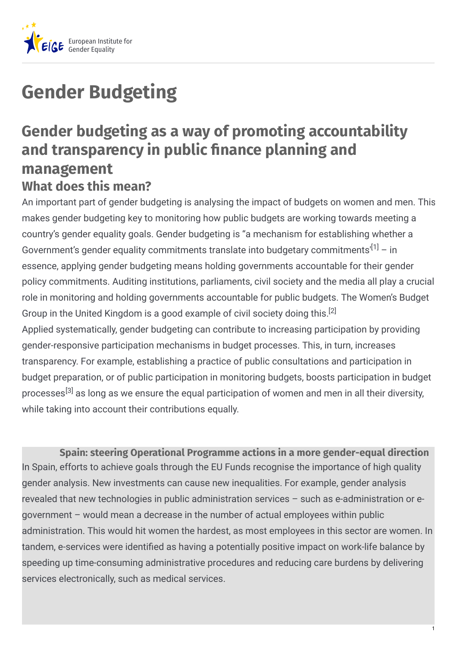

## **Gender Budgeting**

## **Gender budgeting as a way of promoting accountability and transparency in public nance planning and management What does this mean?**

An important part of gender budgeting is analysing the impact of budgets on women and men. This makes gender budgeting key to monitoring how public budgets are working towards meeting a country's gender equality goals. Gender budgeting is "a mechanism for establishing whether a Government's gender equality commitments translate into budgetary commitments'<sup>[1]</sup> – in essence, applying gender budgeting means holding governments accountable for their gender policy commitments. Auditing institutions, parliaments, civil society and the media all play a crucial role in monitoring and holding governments accountable for public budgets. The Women's Budget Group in the United Kingdom is a good example of civil society doing this.<sup>[2]</sup> Applied systematically, gender budgeting can contribute to increasing participation by providing gender-responsive participation mechanisms in budget processes. This, in turn, increases transparency. For example, establishing a practice of public consultations and participation in budget preparation, or of public participation in monitoring budgets, boosts participation in budget processes<sup>[3]</sup> as long as we ensure the equal participation of women and men in all their diversity, while taking into account their contributions equally.

**Spain: steering Operational Programme actions in a more gender-equal direction** In Spain, efforts to achieve goals through the EU Funds recognise the importance of high quality gender analysis. New investments can cause new inequalities. For example, gender analysis revealed that new technologies in public administration services – such as e-administration or egovernment – would mean a decrease in the number of actual employees within public administration. This would hit women the hardest, as most employees in this sector are women. In tandem, e-services were identified as having a potentially positive impact on work-life balance by speeding up time-consuming administrative procedures and reducing care burdens by delivering services electronically, such as medical services.